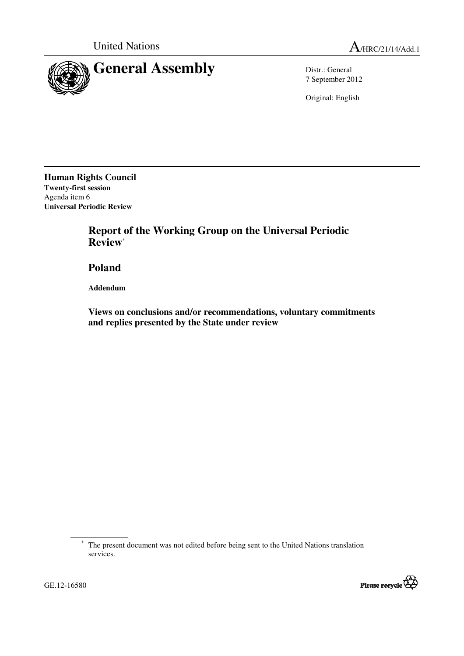

7 September 2012

Original: English

**Human Rights Council Twenty-first session**  Agenda item 6 **Universal Periodic Review** 

> **Report of the Working Group on the Universal Periodic Review**\*

 **Poland** 

 **Addendum** 

 **Views on conclusions and/or recommendations, voluntary commitments and replies presented by the State under review** 

<sup>\*</sup> The present document was not edited before being sent to the United Nations translation services.



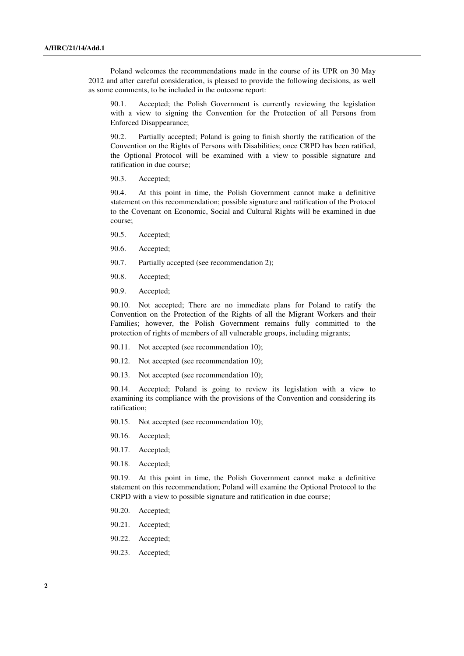Poland welcomes the recommendations made in the course of its UPR on 30 May 2012 and after careful consideration, is pleased to provide the following decisions, as well as some comments, to be included in the outcome report:

90.1. Accepted; the Polish Government is currently reviewing the legislation with a view to signing the Convention for the Protection of all Persons from Enforced Disappearance;

90.2. Partially accepted; Poland is going to finish shortly the ratification of the Convention on the Rights of Persons with Disabilities; once CRPD has been ratified, the Optional Protocol will be examined with a view to possible signature and ratification in due course;

90.3. Accepted;

90.4. At this point in time, the Polish Government cannot make a definitive statement on this recommendation; possible signature and ratification of the Protocol to the Covenant on Economic, Social and Cultural Rights will be examined in due course;

- 90.5. Accepted;
- 90.6. Accepted;
- 90.7. Partially accepted (see recommendation 2);
- 90.8. Accepted;
- 90.9. Accepted;

90.10. Not accepted; There are no immediate plans for Poland to ratify the Convention on the Protection of the Rights of all the Migrant Workers and their Families; however, the Polish Government remains fully committed to the protection of rights of members of all vulnerable groups, including migrants;

- 90.11. Not accepted (see recommendation 10);
- 90.12. Not accepted (see recommendation 10);
- 90.13. Not accepted (see recommendation 10);

90.14. Accepted; Poland is going to review its legislation with a view to examining its compliance with the provisions of the Convention and considering its ratification;

- 90.15. Not accepted (see recommendation 10);
- 90.16. Accepted;
- 90.17. Accepted;
- 90.18. Accepted;

90.19. At this point in time, the Polish Government cannot make a definitive statement on this recommendation; Poland will examine the Optional Protocol to the CRPD with a view to possible signature and ratification in due course;

- 90.20. Accepted;
- 90.21. Accepted;
- 90.22. Accepted;
- 90.23. Accepted;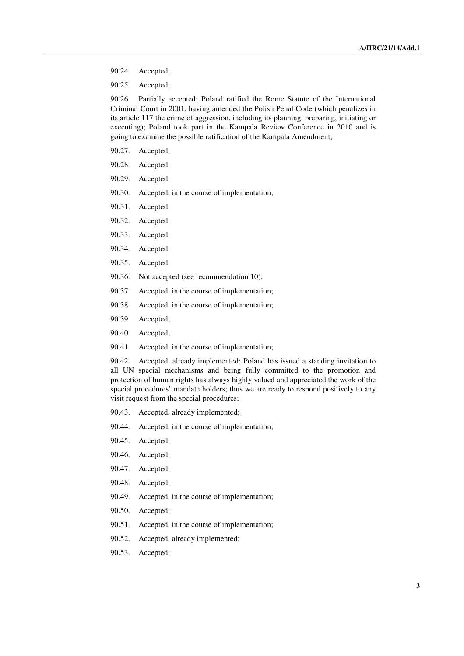- 90.24. Accepted;
- 90.25. Accepted;

90.26. Partially accepted; Poland ratified the Rome Statute of the International Criminal Court in 2001, having amended the Polish Penal Code (which penalizes in its article 117 the crime of aggression, including its planning, preparing, initiating or executing); Poland took part in the Kampala Review Conference in 2010 and is going to examine the possible ratification of the Kampala Amendment;

- 90.27. Accepted;
- 90.28. Accepted;
- 90.29. Accepted;
- 90.30. Accepted, in the course of implementation;
- 90.31. Accepted;
- 90.32. Accepted;
- 90.33. Accepted;
- 90.34. Accepted;
- 90.35. Accepted;
- 90.36. Not accepted (see recommendation 10);
- 90.37. Accepted, in the course of implementation;
- 90.38. Accepted, in the course of implementation;
- 90.39. Accepted;
- 90.40. Accepted;
- 90.41. Accepted, in the course of implementation;

90.42. Accepted, already implemented; Poland has issued a standing invitation to all UN special mechanisms and being fully committed to the promotion and protection of human rights has always highly valued and appreciated the work of the special procedures' mandate holders; thus we are ready to respond positively to any visit request from the special procedures;

- 90.43. Accepted, already implemented;
- 90.44. Accepted, in the course of implementation;
- 90.45. Accepted;
- 90.46. Accepted;
- 90.47. Accepted;
- 90.48. Accepted;
- 90.49. Accepted, in the course of implementation;
- 90.50. Accepted;
- 90.51. Accepted, in the course of implementation;
- 90.52. Accepted, already implemented;
- 90.53. Accepted;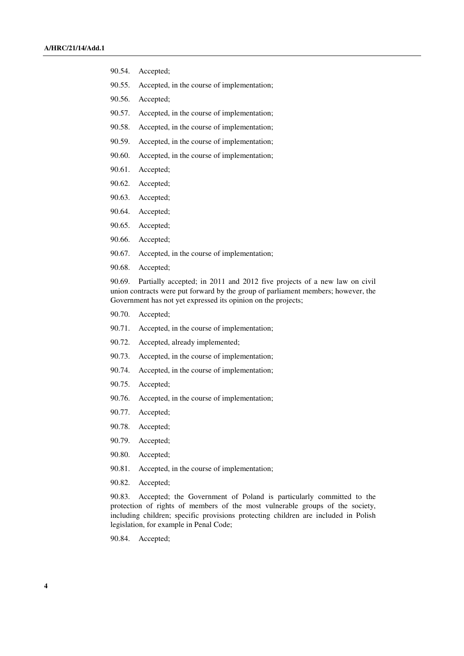- 90.54. Accepted;
- 90.55. Accepted, in the course of implementation;
- 90.56. Accepted;
- 90.57. Accepted, in the course of implementation;
- 90.58. Accepted, in the course of implementation;
- 90.59. Accepted, in the course of implementation;
- 90.60. Accepted, in the course of implementation;
- 90.61. Accepted;
- 90.62. Accepted;
- 90.63. Accepted;
- 90.64. Accepted;
- 90.65. Accepted;
- 90.66. Accepted;
- 90.67. Accepted, in the course of implementation;
- 90.68. Accepted;

90.69. Partially accepted; in 2011 and 2012 five projects of a new law on civil union contracts were put forward by the group of parliament members; however, the Government has not yet expressed its opinion on the projects;

- 90.70. Accepted;
- 90.71. Accepted, in the course of implementation;
- 90.72. Accepted, already implemented;
- 90.73. Accepted, in the course of implementation;
- 90.74. Accepted, in the course of implementation;
- 90.75. Accepted;
- 90.76. Accepted, in the course of implementation;
- 90.77. Accepted;
- 90.78. Accepted;
- 90.79. Accepted;
- 90.80. Accepted;
- 90.81. Accepted, in the course of implementation;
- 90.82. Accepted;

90.83. Accepted; the Government of Poland is particularly committed to the protection of rights of members of the most vulnerable groups of the society, including children; specific provisions protecting children are included in Polish legislation, for example in Penal Code;

90.84. Accepted;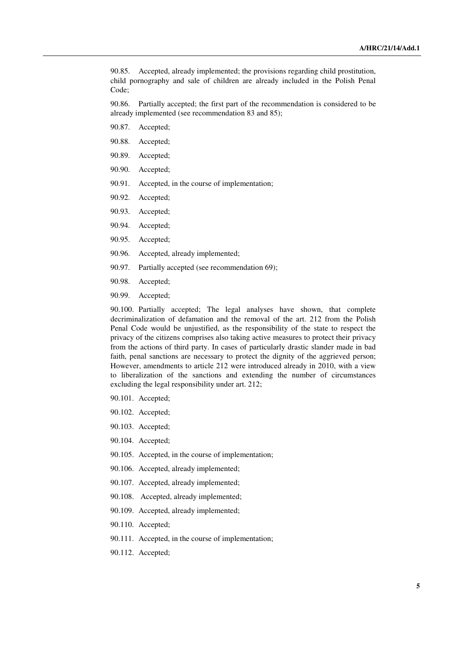90.85. Accepted, already implemented; the provisions regarding child prostitution, child pornography and sale of children are already included in the Polish Penal Code;

90.86. Partially accepted; the first part of the recommendation is considered to be already implemented (see recommendation 83 and 85);

- 90.87. Accepted;
- 90.88. Accepted;
- 90.89. Accepted;
- 90.90. Accepted;
- 90.91. Accepted, in the course of implementation;
- 90.92. Accepted;
- 90.93. Accepted;
- 90.94. Accepted;
- 90.95. Accepted;
- 90.96. Accepted, already implemented;
- 90.97. Partially accepted (see recommendation 69);
- 90.98. Accepted;
- 90.99. Accepted;

90.100. Partially accepted; The legal analyses have shown, that complete decriminalization of defamation and the removal of the art. 212 from the Polish Penal Code would be unjustified, as the responsibility of the state to respect the privacy of the citizens comprises also taking active measures to protect their privacy from the actions of third party. In cases of particularly drastic slander made in bad faith, penal sanctions are necessary to protect the dignity of the aggrieved person; However, amendments to article 212 were introduced already in 2010, with a view to liberalization of the sanctions and extending the number of circumstances excluding the legal responsibility under art. 212;

- 90.101. Accepted;
- 90.102. Accepted;
- 90.103. Accepted;
- 90.104. Accepted;
- 90.105. Accepted, in the course of implementation;
- 90.106. Accepted, already implemented;
- 90.107. Accepted, already implemented;
- 90.108. Accepted, already implemented;
- 90.109. Accepted, already implemented;
- 90.110. Accepted;
- 90.111. Accepted, in the course of implementation;
- 90.112. Accepted;